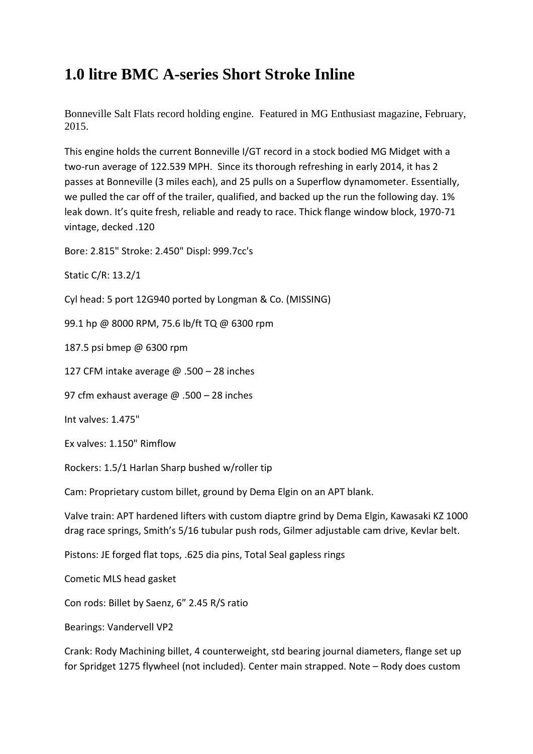## **1.0 litre BMC A-series Short Stroke Inline**

Bonneville Salt Flats record holding engine. Featured in MG Enthusiast magazine, February, 2015.

This engine holds the current Bonneville I/GT record in a stock bodied MG Midget with a two-run average of 122.539 MPH. Since its thorough refreshing in early 2014, it has 2 passes at Bonneville (3 miles each), and 25 pulls on a Superflow dynamometer. Essentially, we pulled the car off of the trailer, qualified, and backed up the run the following day. 1% leak down. It's quite fresh, reliable and ready to race. Thick flange window block, 1970-71 vintage, decked .120

Bore: 2.815" Stroke: 2.450" Displ: 999.7cc's

Static C/R: 13.2/1

Cyl head: 5 port 12G940 ported by Longman & Co. (MISSING)

99.1 hp @ 8000 RPM, 75.6 lb/ft TQ @ 6300 rpm

187.5 psi bmep @ 6300 rpm

127 CFM intake average @ .500 – 28 inches

97 cfm exhaust average @ .500 - 28 inches

Int valves: 1.475"

Ex valves: 1.150" Rimflow

Rockers: 1.5/1 Harlan Sharp bushed w/roller tip

Cam: Proprietary custom billet, ground by Dema Elgin on an APT blank.

Valve train: APT hardened lifters with custom diaptre grind by Dema Elgin, Kawasaki KZ 1000 drag race springs, Smith's 5/16 tubular push rods, Gilmer adjustable cam drive, Kevlar belt.

Pistons: JE forged flat tops, .625 dia pins, Total Seal gapless rings

Cometic MLS head gasket

Con rods: Billet by Saenz, 6" 2.45 R/S ratio

Bearings: Vandervell VP2

Crank: Rody Machining billet, 4 counterweight, std bearing journal diameters, flange set up for Spridget 1275 flywheel (not included). Center main strapped. Note – Rody does custom